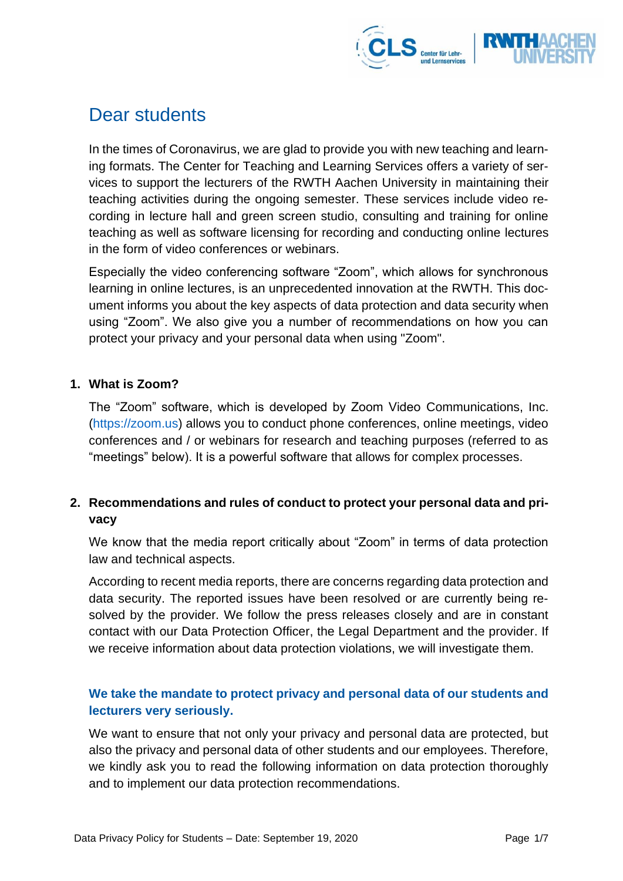

# Dear students

In the times of Coronavirus, we are glad to provide you with new teaching and learning formats. The Center for Teaching and Learning Services offers a variety of services to support the lecturers of the RWTH Aachen University in maintaining their teaching activities during the ongoing semester. These services include video recording in lecture hall and green screen studio, consulting and training for online teaching as well as software licensing for recording and conducting online lectures in the form of video conferences or webinars.

Especially the video conferencing software "Zoom", which allows for synchronous learning in online lectures, is an unprecedented innovation at the RWTH. This document informs you about the key aspects of data protection and data security when using "Zoom". We also give you a number of recommendations on how you can protect your privacy and your personal data when using "Zoom".

#### **1. What is Zoom?**

The "Zoom" software, which is developed by Zoom Video Communications, Inc. [\(https://zoom.us\)](https://zoom.us/) allows you to conduct phone conferences, online meetings, video conferences and / or webinars for research and teaching purposes (referred to as "meetings" below). It is a powerful software that allows for complex processes.

# **2. Recommendations and rules of conduct to protect your personal data and privacy**

We know that the media report critically about "Zoom" in terms of data protection law and technical aspects.

According to recent media reports, there are concerns regarding data protection and data security. The reported issues have been resolved or are currently being resolved by the provider. We follow the press releases closely and are in constant contact with our Data Protection Officer, the Legal Department and the provider. If we receive information about data protection violations, we will investigate them.

## **We take the mandate to protect privacy and personal data of our students and lecturers very seriously.**

We want to ensure that not only your privacy and personal data are protected, but also the privacy and personal data of other students and our employees. Therefore, we kindly ask you to read the following information on data protection thoroughly and to implement our data protection recommendations.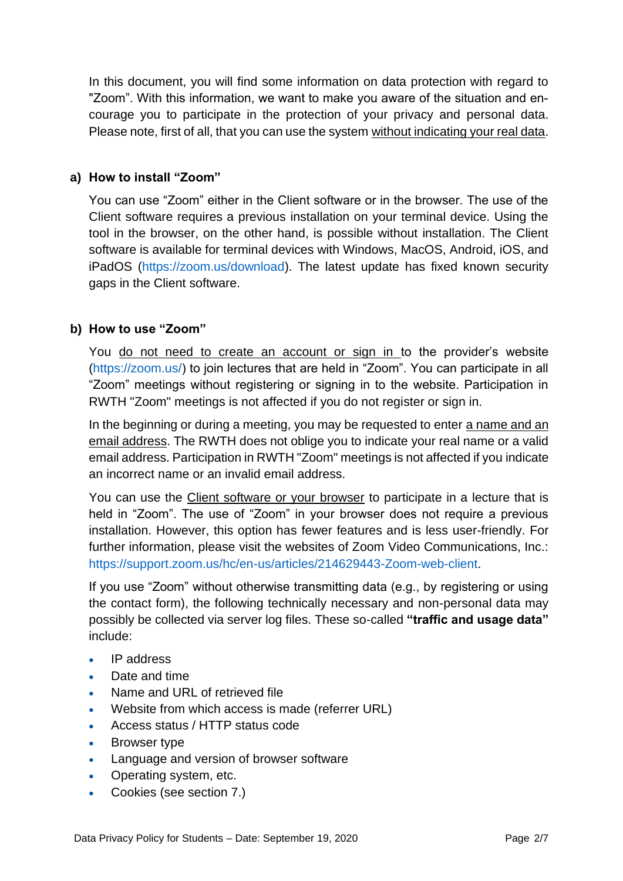In this document, you will find some information on data protection with regard to "Zoom". With this information, we want to make you aware of the situation and encourage you to participate in the protection of your privacy and personal data. Please note, first of all, that you can use the system without indicating your real data.

## **a) How to install "Zoom"**

You can use "Zoom" either in the Client software or in the browser. The use of the Client software requires a previous installation on your terminal device. Using the tool in the browser, on the other hand, is possible without installation. The Client software is available for terminal devices with Windows, MacOS, Android, iOS, and iPadOS [\(https://zoom.us/download\)](https://zoom.us/download). The latest update has fixed known security gaps in the Client software.

## **b) How to use "Zoom"**

You do not need to create an account or sign in to the provider's website [\(https://zoom.us/\)](https://zoom.us/) to join lectures that are held in "Zoom". You can participate in all "Zoom" meetings without registering or signing in to the website. Participation in RWTH "Zoom" meetings is not affected if you do not register or sign in.

In the beginning or during a meeting, you may be requested to enter a name and an email address. The RWTH does not oblige you to indicate your real name or a valid email address. Participation in RWTH "Zoom" meetings is not affected if you indicate an incorrect name or an invalid email address.

You can use the Client software or your browser to participate in a lecture that is held in "Zoom". The use of "Zoom" in your browser does not require a previous installation. However, this option has fewer features and is less user-friendly. For further information, please visit the websites of Zoom Video Communications, Inc.: [https://support.zoom.us/hc/en-us/articles/214629443-Zoom-web-client.](https://support.zoom.us/hc/en-us/articles/214629443-Zoom-web-client)

If you use "Zoom" without otherwise transmitting data (e.g., by registering or using the contact form), the following technically necessary and non-personal data may possibly be collected via server log files. These so-called **"traffic and usage data"** include:

- IP address
- Date and time
- Name and URL of retrieved file
- Website from which access is made (referrer URL)
- Access status / HTTP status code
- Browser type
- Language and version of browser software
- Operating system, etc.
- Cookies (see section 7.)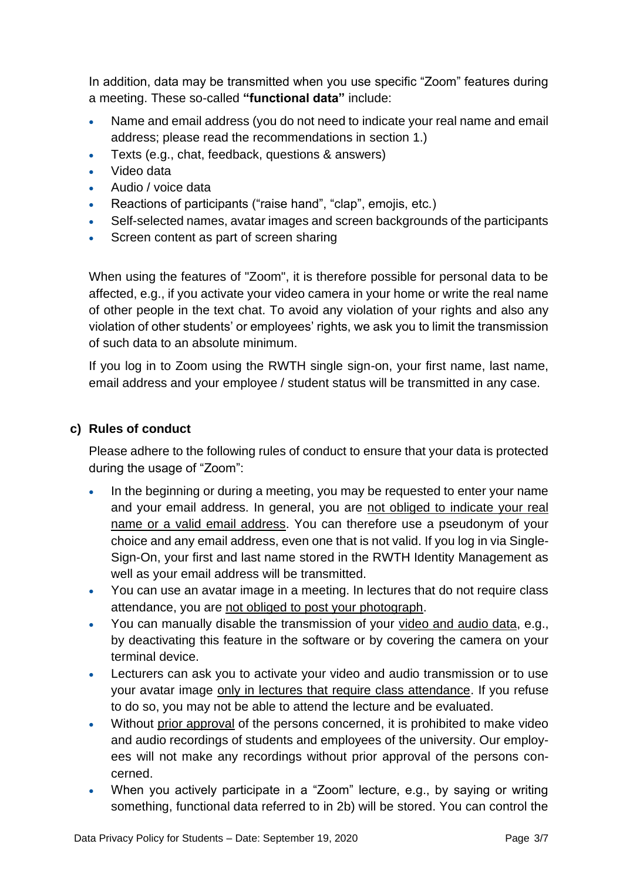In addition, data may be transmitted when you use specific "Zoom" features during a meeting. These so-called **"functional data"** include:

- Name and email address (you do not need to indicate your real name and email address; please read the recommendations in section 1.)
- Texts (e.g., chat, feedback, questions & answers)
- Video data
- Audio / voice data
- Reactions of participants ("raise hand", "clap", emojis, etc.)
- Self-selected names, avatar images and screen backgrounds of the participants
- Screen content as part of screen sharing

When using the features of "Zoom", it is therefore possible for personal data to be affected, e.g., if you activate your video camera in your home or write the real name of other people in the text chat. To avoid any violation of your rights and also any violation of other students' or employees' rights, we ask you to limit the transmission of such data to an absolute minimum.

If you log in to Zoom using the RWTH single sign-on, your first name, last name, email address and your employee / student status will be transmitted in any case.

## **c) Rules of conduct**

Please adhere to the following rules of conduct to ensure that your data is protected during the usage of "Zoom":

- In the beginning or during a meeting, you may be requested to enter your name and your email address. In general, you are not obliged to indicate your real name or a valid email address. You can therefore use a pseudonym of your choice and any email address, even one that is not valid. If you log in via Single-Sign-On, your first and last name stored in the RWTH Identity Management as well as your email address will be transmitted.
- You can use an avatar image in a meeting. In lectures that do not require class attendance, you are not obliged to post your photograph.
- You can manually disable the transmission of your video and audio data, e.g., by deactivating this feature in the software or by covering the camera on your terminal device.
- Lecturers can ask you to activate your video and audio transmission or to use your avatar image only in lectures that require class attendance. If you refuse to do so, you may not be able to attend the lecture and be evaluated.
- Without prior approval of the persons concerned, it is prohibited to make video and audio recordings of students and employees of the university. Our employees will not make any recordings without prior approval of the persons concerned.
- When you actively participate in a "Zoom" lecture, e.g., by saying or writing something, functional data referred to in 2b) will be stored. You can control the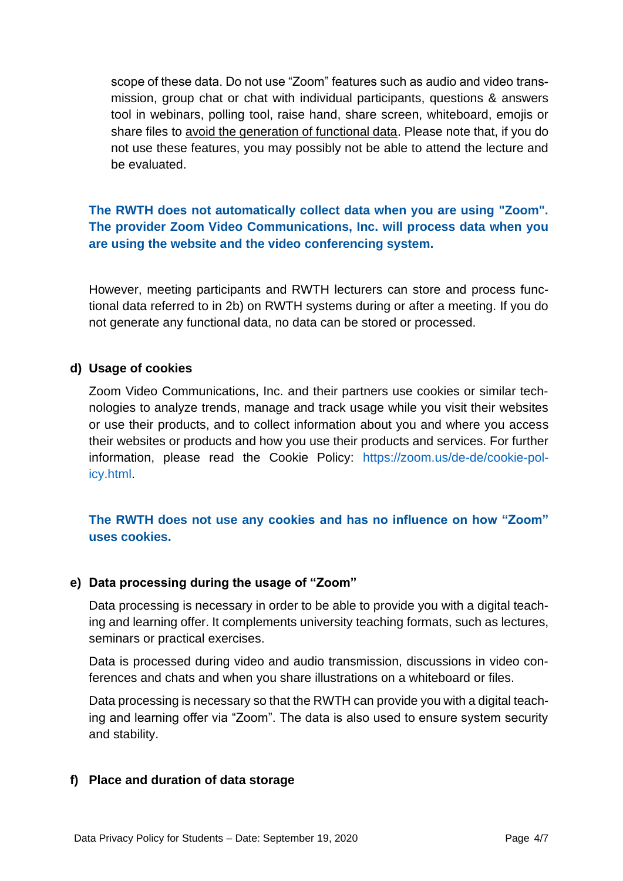scope of these data. Do not use "Zoom" features such as audio and video transmission, group chat or chat with individual participants, questions & answers tool in webinars, polling tool, raise hand, share screen, whiteboard, emojis or share files to avoid the generation of functional data. Please note that, if you do not use these features, you may possibly not be able to attend the lecture and be evaluated.

## **The RWTH does not automatically collect data when you are using "Zoom". The provider Zoom Video Communications, Inc. will process data when you are using the website and the video conferencing system.**

However, meeting participants and RWTH lecturers can store and process functional data referred to in 2b) on RWTH systems during or after a meeting. If you do not generate any functional data, no data can be stored or processed.

#### **d) Usage of cookies**

Zoom Video Communications, Inc. and their partners use cookies or similar technologies to analyze trends, manage and track usage while you visit their websites or use their products, and to collect information about you and where you access their websites or products and how you use their products and services. For further information, please read the Cookie Policy: [https://zoom.us/de-de/cookie-pol](https://zoom.us/de-de/cookie-policy.html)[icy.html.](https://zoom.us/de-de/cookie-policy.html)

## **The RWTH does not use any cookies and has no influence on how "Zoom" uses cookies.**

## **e) Data processing during the usage of "Zoom"**

Data processing is necessary in order to be able to provide you with a digital teaching and learning offer. It complements university teaching formats, such as lectures, seminars or practical exercises.

Data is processed during video and audio transmission, discussions in video conferences and chats and when you share illustrations on a whiteboard or files.

Data processing is necessary so that the RWTH can provide you with a digital teaching and learning offer via "Zoom". The data is also used to ensure system security and stability.

#### **f) Place and duration of data storage**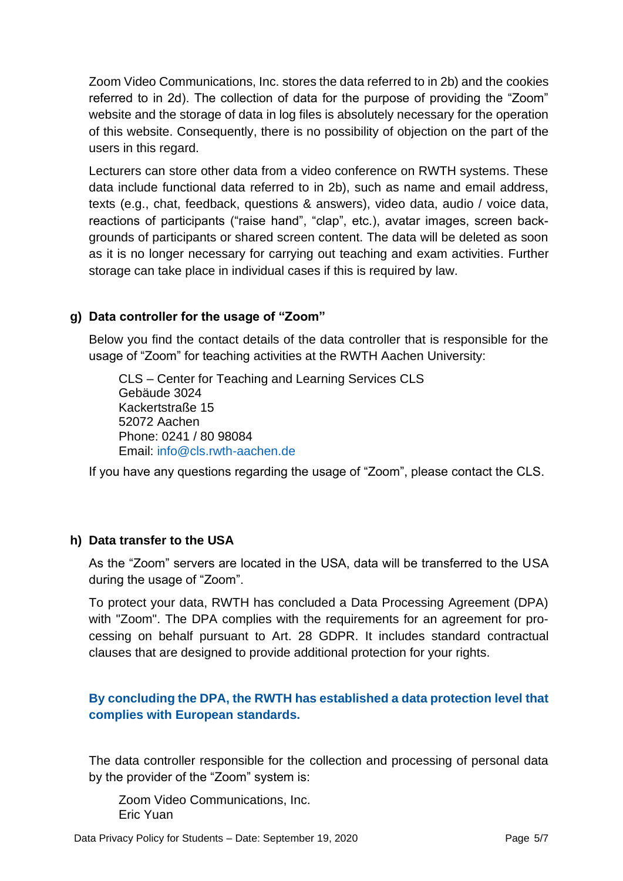Zoom Video Communications, Inc. stores the data referred to in 2b) and the cookies referred to in 2d). The collection of data for the purpose of providing the "Zoom" website and the storage of data in log files is absolutely necessary for the operation of this website. Consequently, there is no possibility of objection on the part of the users in this regard.

Lecturers can store other data from a video conference on RWTH systems. These data include functional data referred to in 2b), such as name and email address, texts (e.g., chat, feedback, questions & answers), video data, audio / voice data, reactions of participants ("raise hand", "clap", etc.), avatar images, screen backgrounds of participants or shared screen content. The data will be deleted as soon as it is no longer necessary for carrying out teaching and exam activities. Further storage can take place in individual cases if this is required by law.

## **g) Data controller for the usage of "Zoom"**

Below you find the contact details of the data controller that is responsible for the usage of "Zoom" for teaching activities at the RWTH Aachen University:

CLS – Center for Teaching and Learning Services CLS Gebäude 3024 Kackertstraße 15 52072 Aachen Phone: 0241 / 80 98084 Email: [info@cls.rwth-aachen.de](mailto:info@cls.rwth-aachen.de)

If you have any questions regarding the usage of "Zoom", please contact the CLS.

## **h) Data transfer to the USA**

As the "Zoom" servers are located in the USA, data will be transferred to the USA during the usage of "Zoom".

To protect your data, RWTH has concluded a Data Processing Agreement (DPA) with "Zoom". The DPA complies with the requirements for an agreement for processing on behalf pursuant to Art. 28 GDPR. It includes standard contractual clauses that are designed to provide additional protection for your rights.

## **By concluding the DPA, the RWTH has established a data protection level that complies with European standards.**

The data controller responsible for the collection and processing of personal data by the provider of the "Zoom" system is:

Zoom Video Communications, Inc. Eric Yuan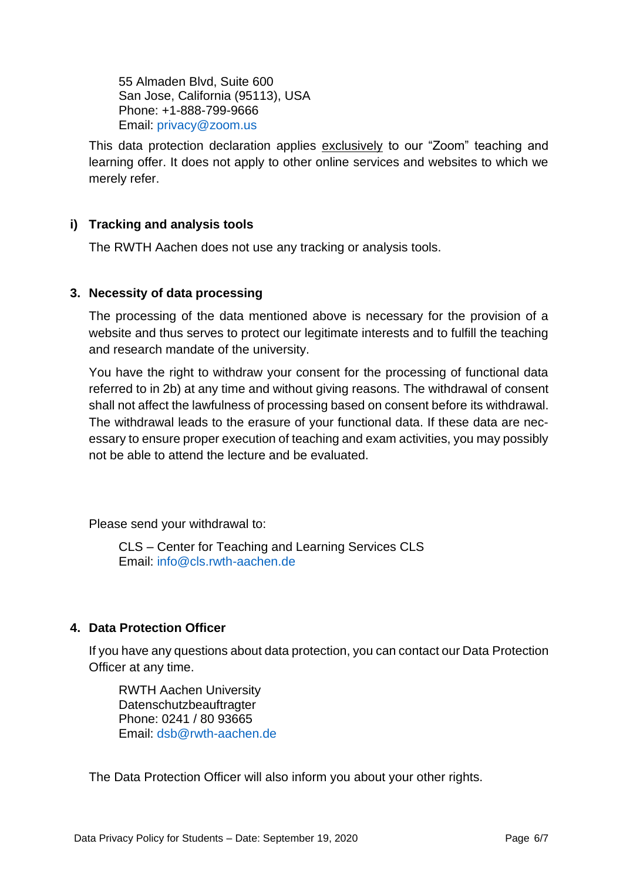55 Almaden Blvd, Suite 600 San Jose, California (95113), USA Phone: +1-888-799-9666 Email: [privacy@zoom.us](mailto:privacy@zoom.us)

This data protection declaration applies exclusively to our "Zoom" teaching and learning offer. It does not apply to other online services and websites to which we merely refer.

# **i) Tracking and analysis tools**

The RWTH Aachen does not use any tracking or analysis tools.

## **3. Necessity of data processing**

The processing of the data mentioned above is necessary for the provision of a website and thus serves to protect our legitimate interests and to fulfill the teaching and research mandate of the university.

You have the right to withdraw your consent for the processing of functional data referred to in 2b) at any time and without giving reasons. The withdrawal of consent shall not affect the lawfulness of processing based on consent before its withdrawal. The withdrawal leads to the erasure of your functional data. If these data are necessary to ensure proper execution of teaching and exam activities, you may possibly not be able to attend the lecture and be evaluated.

Please send your withdrawal to:

CLS – Center for Teaching and Learning Services CLS Email: [info@cls.rwth-aachen.de](mailto:info@cls.rwth-aachen.de)

## **4. Data Protection Officer**

If you have any questions about data protection, you can contact our Data Protection Officer at any time.

RWTH Aachen University Datenschutzbeauftragter Phone: 0241 / 80 93665 Email: [dsb@rwth-aachen.de](mailto:dsb@rwth-aachen.de)

The Data Protection Officer will also inform you about your other rights.